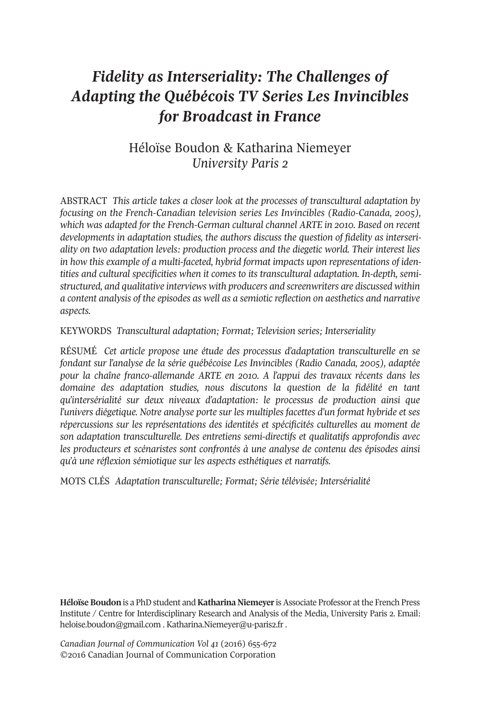# *Fidelity as Interseriality: The Challenges of Adapting the Québécois TV Series Les Invincibles for Broadcast in France*

# Héloïse Boudon & Katharina Niemeyer *University Paris 2*

ABstrAct *This article takes a closer look at the processes of transcultural adaptation by focusing on the French-Canadian television series Les Invincibles (Radio-Canada, 2005), which was adapted for the French-German cultural channel ARTE in 2010. Based on recent developments in adaptation studies, the authors discuss the question of fidelity as interseriality on two adaptation levels: production process and the diegetic world. Their interest lies in how this example of a multi-faceted, hybrid format impacts upon representations of identities and cultural specificities when it comes to its transcultural adaptation. In-depth, semistructured, and qualitative interviews with producers and screenwriters are discussed within a content analysis of the episodes as well as a semiotic reflection on aesthetics and narrative aspects.*

KEYWOrDs *Transcultural adaptation; Format; Television series; Interseriality*

rÉsUMÉ *Cet article propose une étude des processus d'adaptation transculturelle en se fondant sur l'analyse de la série québécoise Les Invincibles (Radio Canada, 2005), adaptée pour la chaîne franco-allemande ARTE en 2010. A l'appui des travaux récents dans les domaine des adaptation studies, nous discutons la question de la fidélité en tant qu'intersérialité sur deux niveaux d'adaptation: le processus de production ainsi que l'univers diégetique. Notre analyse porte sur les multiples facettes d'un format hybride et ses répercussions sur les représentations des identités et spécificités culturelles au moment de son adaptation transculturelle. Des entretiens semi-directifs et qualitatifs approfondis avec les producteurs et scénaristes sont confrontés à une analyse de contenu des épisodes ainsi qu'à une réflexion sémiotique sur les aspects esthétiques et narratifs.*

MOts cLÉs *Adaptation transculturelle; Format; Série télévisée; Intersérialité*

**Héloïse Boudon** is a PhD student and **Katharina Niemeyer** is Associate Professor at the French Press Institute / Centre for Interdisciplinary Research and Analysis of the Media, University Paris 2. Email: [heloise.boudon@gmail.com](mailto:heloise.boudon@gmail.com) . [Katharina.Niemeyer@u-paris2.fr](mailto:Katharina.Niemeyer@u-paris2.fr) .

*Canadian Journal of [Communication](http://www.cjc-online.ca) Vol 41* (2016) 655-672 ©2016 canadian Journal of communication corporation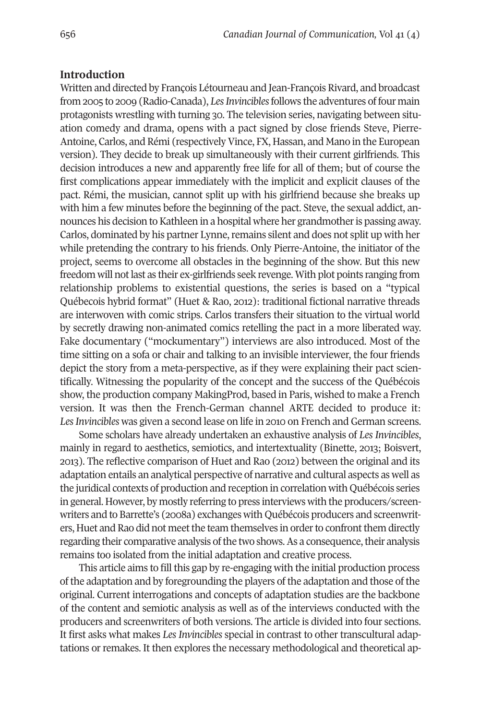#### **Introduction**

Written and directed by François Létourneau and Jean-François Rivard, and broadcast from 2005 to 2009 (Radio-Canada), *Les Invincibles* follows the adventures of four main protagonists wrestling with turning 30. the television series, navigating between situation comedy and drama, opens with a pact signed by close friends steve, Pierre-Antoine, Carlos, and Rémi (respectively Vince, FX, Hassan, and Mano in the European version). they decide to break up simultaneously with their current girlfriends. this decision introduces a new and apparently free life for all of them; but of course the first complications appear immediately with the implicit and explicit clauses of the pact. Rémi, the musician, cannot split up with his girlfriend because she breaks up with him a few minutes before the beginning of the pact. steve, the sexual addict, announces his decision to Kathleen in a hospital where her grandmother is passing away. Carlos, dominated by his partner Lynne, remains silent and does not split up with her while pretending the contrary to his friends. Only Pierre-Antoine, the initiator of the project, seems to overcome all obstacles in the beginning of the show. But this new freedom will notlast as their ex-girlfriends seek revenge. With plot points ranging from relationship problems to existential questions, the series is based on a "typical Québecois hybrid format" (Huet & Rao, 2012): traditional fictional narrative threads are interwoven with comic strips. carlos transfers their situation to the virtual world by secretly drawing non-animated comics retelling the pact in a more liberated way. Fake documentary ("mockumentary") interviews are also introduced. Most of the time sitting on a sofa or chair and talking to an invisible interviewer, the four friends depict the story from a meta-perspective, as if they were explaining their pact scientifically. Witnessing the popularity of the concept and the success of the Québécois show, the production company MakingProd, based in Paris, wished to make a French version. It was then the French-German channel ArtE decided to produce it: Les *Invincibles* was given a second lease on life in 2010 on French and German screens.

some scholars have already undertaken an exhaustive analysis of *Les Invincibles*, mainly in regard to aesthetics, semiotics, and intertextuality (Binette, 2013; Boisvert, 2013). The reflective comparison of Huet and Rao (2012) between the original and its adaptation entails an analytical perspective of narrative and cultural aspects as well as the juridical contexts of production and reception in correlation with Québécois series in general. However, by mostly referring to press interviews with the producers/screenwriters and to Barrette's (2008a) exchanges with Québécois producers and screenwriters, Huet and Rao did not meet the team themselves in order to confront them directly regarding their comparative analysis of the two shows. As a consequence, their analysis remains too isolated from the initial adaptation and creative process.

this article aims to fill this gap by re-engaging with the initial production process of the adaptation and by foregrounding the players of the adaptation and those of the original. current interrogations and concepts of adaptation studies are the backbone of the content and semiotic analysis as well as of the interviews conducted with the producers and screenwriters of both versions. the article is divided into four sections. It first asks what makes *Les Invincibles* special in contrast to other transcultural adaptations or remakes. It then explores the necessary methodological and theoretical ap-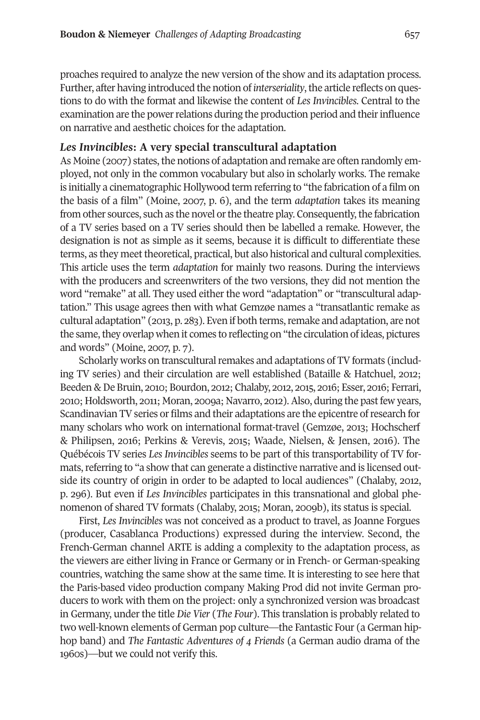proaches required to analyze the new version of the show and its adaptation process. Further, after having introduced the notion of *interseriality*, the article reflects on questions to do with the format and likewise the content of *Les Invincibles*. central to the examination are the power relations during the production period and their influence on narrative and aesthetic choices for the adaptation.

## *Les Invincibles***: A very special transcultural adaptation**

As Moine (2007) states, the notions of adaptation and remake are often randomly employed, not only in the common vocabulary but also in scholarly works. the remake is initially a cinematographic Hollywood term referring to "the fabrication of a film on the basis of a film" (Moine, 2007, p. 6), and the term *adaptation* takes its meaning from other sources, such as the novel or the theatre play. Consequently, the fabrication of a tV series based on a tV series should then be labelled a remake. However, the designation is not as simple as it seems, because it is difficult to differentiate these terms, as they meet theoretical, practical, but also historical and cultural complexities. this article uses the term *adaptation* for mainly two reasons. During the interviews with the producers and screenwriters of the two versions, they did not mention the word "remake" at all. They used either the word "adaptation" or "transcultural adaptation." This usage agrees then with what Gemzøe names a "transatlantic remake as cultural adaptation" (2013, p. 283). Even if both terms,remake and adaptation, are not the same, they overlap when it comes to reflecting on "the circulation of ideas, pictures and words" (Moine, 2007, p. 7).

Scholarly works on transcultural remakes and adaptations of TV formats (including tV series) and their circulation are well established (Bataille & Hatchuel, 2012; Beeden & De Bruin, 2010; Bourdon, 2012; chalaby, 2012, 2015, 2016; Esser, 2016; Ferrari, 2010; Holdsworth, 2011; Moran, 2009a; Navarro, 2012). Also, during the past few years, Scandinavian TV series or films and their adaptations are the epicentre of research for many scholars who work on international format-travel (Gemzøe, 2013; Hochscherf & Philipsen, 2016; Perkins & Verevis, 2015; Waade, Nielsen, & Jensen, 2016). the Québécois tV series *Les Invincibles* seems to be part of this transportability of tV formats, referring to "a show that can generate a distinctive narrative and is licensed outside its country of origin in order to be adapted to local audiences" (chalaby, 2012, p. 296). But even if *Les Invincibles* participates in this transnational and global phenomenon of shared tV formats (chalaby, 2015; Moran, 2009b), its status is special.

First, *Les Invincibles* was not conceived as a product to travel, as Joanne Forgues (producer, casablanca Productions) expressed during the interview. second, the French-German channel ARTE is adding a complexity to the adaptation process, as the viewers are either living in France or Germany or in French- or German-speaking countries, watching the same show at the same time. It is interesting to see here that the Paris-based video production company Making Prod did not invite German producers to work with them on the project: only a synchronized version was broadcast in Germany, under the title *Die Vier* (*The Four*). this translation is probably related to two well-known elements of German pop culture—the Fantastic Four (a German hiphop band) and *The Fantastic Adventures of 4 Friends* (a German audio drama of the 1960s)—but we could not verify this.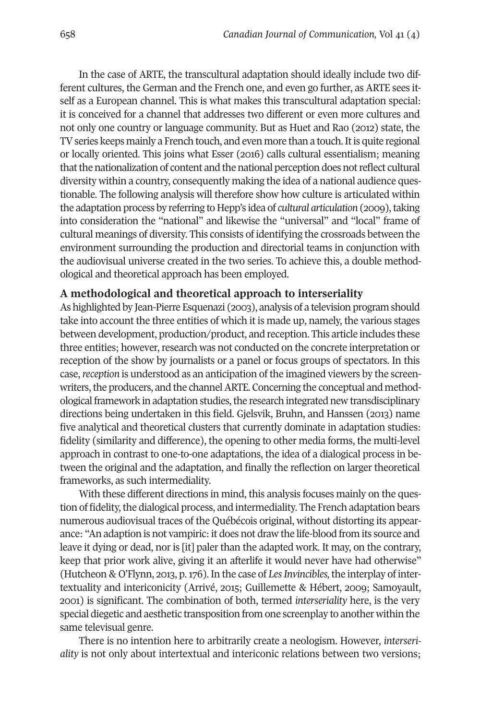In the case of ArtE, the transcultural adaptation should ideally include two different cultures, the German and the French one, and even go further, as ARTE sees itself as a European channel. this is what makes this transcultural adaptation special: it is conceived for a channel that addresses two different or even more cultures and not only one country or language community. But as Huet and Rao (2012) state, the TV series keeps mainly a French touch, and even more than a touch. It is quite regional or locally oriented. this joins what Esser (2016) calls cultural essentialism; meaning that the nationalization of content and the national perception does not reflect cultural diversity within a country, consequently making the idea of a national audience questionable. the following analysis will therefore show how culture is articulated within the adaptation process by referring to Hepp's idea of *cultural articulation* (2009), taking into consideration the "national" and likewise the "universal" and "local" frame of cultural meanings of diversity. this consists of identifying the crossroads between the environment surrounding the production and directorial teams in conjunction with the audiovisual universe created in the two series. to achieve this, a double methodological and theoretical approach has been employed.

#### **A methodological and theoretical approach to interseriality**

As highlighted by Jean-Pierre Esquenazi (2003), analysis of a television program should take into account the three entities of which it is made up, namely, the various stages between development, production/product, and reception. this article includes these three entities; however, research was not conducted on the concrete interpretation or reception of the show by journalists or a panel or focus groups of spectators. In this case,*reception* is understood as an anticipation of the imagined viewers by the screenwriters, the producers, and the channel ARTE. Concerning the conceptual and methodologicalframework in adaptation studies,the research integrated new transdisciplinary directions being undertaken in this field. Gjelsvik, Bruhn, and Hanssen (2013) name five analytical and theoretical clusters that currently dominate in adaptation studies: fidelity (similarity and difference), the opening to other media forms, the multi-level approach in contrast to one-to-one adaptations, the idea of a dialogical process in between the original and the adaptation, and finally the reflection on larger theoretical frameworks, as such intermediality.

With these different directions in mind, this analysis focuses mainly on the question of fidelity, the dialogical process, and intermediality. The French adaptation bears numerous audiovisual traces of the Québécois original, without distorting its appearance: "An adaption is not vampiric: it does not draw the life-blood from its source and leave it dying or dead, nor is [it] paler than the adapted work. It may, on the contrary, keep that prior work alive, giving it an afterlife it would never have had otherwise" (Hutcheon & O'Flynn, 2013, p.176). In the case of *LesInvincibles,*the interplay of intertextuality and intericonicity (Arrivé, 2015; Guillemette & Hébert, 2009; samoyault, 2001) is significant. the combination of both, termed *interseriality* here, is the very special diegetic and aesthetic transposition from one screenplay to another within the same televisual genre.

there is no intention here to arbitrarily create a neologism. However, *interseriality* is not only about intertextual and intericonic relations between two versions;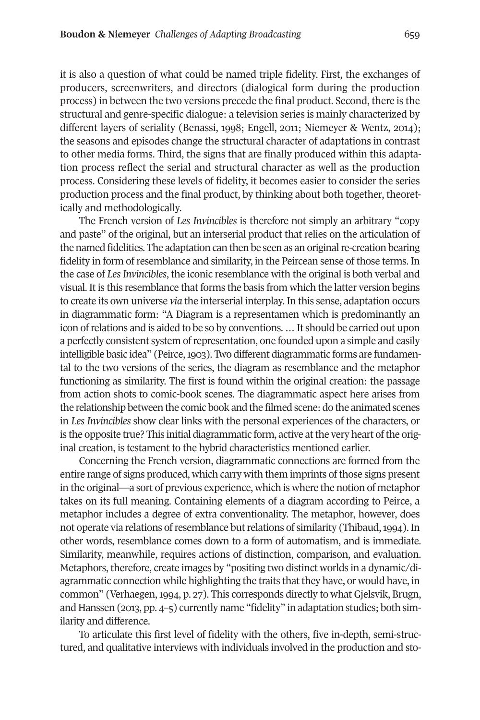it is also a question of what could be named triple fidelity. First, the exchanges of producers, screenwriters, and directors (dialogical form during the production process) in between the two versions precede the final product. second, there is the structural and genre-specific dialogue: a television series is mainly characterized by different layers of seriality (Benassi, 1998; Engell, 2011; Niemeyer & Wentz, 2014); the seasons and episodes change the structural character of adaptations in contrast to other media forms. third, the signs that are finally produced within this adaptation process reflect the serial and structural character as well as the production process. considering these levels of fidelity, it becomes easier to consider the series production process and the final product, by thinking about both together, theoretically and methodologically.

the French version of *Les Invincibles* is therefore not simply an arbitrary "copy and paste" of the original, but an interserial product that relies on the articulation of the named fidelities. the adaptation can then be seen as an originalre-creation bearing fidelity in form ofresemblance and similarity, in the Peircean sense of those terms. In the case of *LesInvincibles*, the iconic resemblance with the original is both verbal and visual. It is this resemblance that forms the basis from which the latter version begins to create its own universe *via* the interserial interplay. In this sense, adaptation occurs in diagrammatic form: "A Diagram is a representamen which is predominantly an icon of relations and is aided to be so by conventions. ... It should be carried out upon a perfectly consistent system ofrepresentation, one founded upon a simple and easily intelligible basic idea" (Peirce, 1903). Two different diagrammatic forms are fundamental to the two versions of the series, the diagram as resemblance and the metaphor functioning as similarity. the first is found within the original creation: the passage from action shots to comic-book scenes. the diagrammatic aspect here arises from the relationship between the comic book and the filmed scene: do the animated scenes in *Les Invincibles* show clear links with the personal experiences of the characters, or is the opposite true? This initial diagrammatic form, active at the very heart of the original creation, is testament to the hybrid characteristics mentioned earlier.

concerning the French version, diagrammatic connections are formed from the entire range of signs produced, which carry with them imprints ofthose signs present in the original—a sort of previous experience, which is where the notion of metaphor takes on its full meaning. containing elements of a diagram according to Peirce, a metaphor includes a degree of extra conventionality. the metaphor, however, does not operate via relations of resemblance but relations of similarity (Thibaud, 1994). In other words, resemblance comes down to a form of automatism, and is immediate. similarity, meanwhile, requires actions of distinction, comparison, and evaluation. Metaphors, therefore, create images by "positing two distinct worlds in a dynamic/diagrammatic connection while highlighting the traits thatthey have, or would have, in common" (Verhaegen, 1994, p. 27). This corresponds directly to what Gjelsvik, Brugn, and Hanssen (2013, pp. 4–5) currently name "fidelity" in adaptation studies; both similarity and difference.

to articulate this first level of fidelity with the others, five in-depth, semi-structured, and qualitative interviews with individuals involved in the production and sto-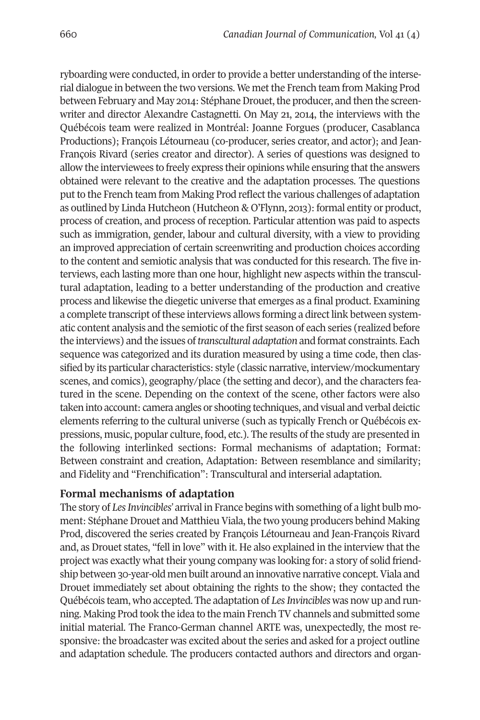ryboarding were conducted, in order to provide a better understanding of the interserial dialogue in between the two versions. We metthe French team from Making Prod between February and May 2014: Stéphane Drouet, the producer, and then the screenwriter and director Alexandre castagnetti. On May 21, 2014, the interviews with the Québécois team were realized in Montréal: Joanne Forgues (producer, casablanca Productions); François Létourneau (co-producer, series creator, and actor); and Jean-François Rivard (series creator and director). A series of questions was designed to allow the interviewees to freely express their opinions while ensuring that the answers obtained were relevant to the creative and the adaptation processes. the questions put to the French team from Making Prod reflect the various challenges of adaptation as outlined by Linda Hutcheon (Hutcheon & O'Flynn, 2013): formal entity or product, process of creation, and process of reception. Particular attention was paid to aspects such as immigration, gender, labour and cultural diversity, with a view to providing an improved appreciation of certain screenwriting and production choices according to the content and semiotic analysis that was conducted for this research. the five interviews, each lasting more than one hour, highlight new aspects within the transcultural adaptation, leading to a better understanding of the production and creative process and likewise the diegetic universe that emerges as a final product. Examining a complete transcript of these interviews allows forming a direct link between systematic content analysis and the semiotic ofthe first season of each series (realized before the interviews) and the issues of *transcultural adaptation* and format constraints. Each sequence was categorized and its duration measured by using a time code, then classified by its particular characteristics: style (classic narrative, interview/mockumentary scenes, and comics), geography/place (the setting and decor), and the characters featured in the scene. Depending on the context of the scene, other factors were also taken into account: camera angles or shooting techniques, and visual and verbal deictic elements referring to the cultural universe (such as typically French or Québécois expressions, music, popular culture, food, etc.). the results of the study are presented in the following interlinked sections: Formal mechanisms of adaptation; Format: Between constraint and creation, Adaptation: Between resemblance and similarity; and Fidelity and "Frenchification": transcultural and interserial adaptation.

## **Formal mechanisms of adaptation**

the story of *LesInvincibles'* arrival in France begins with something of a light bulb moment: Stéphane Drouet and Matthieu Viala, the two young producers behind Making Prod, discovered the series created by François Létourneau and Jean-François Rivard and, as Drouet states, "fell in love" with it. He also explained in the interview that the project was exactly what their young company was looking for: a story of solid friendship between 30-year-old men built around an innovative narrative concept.Viala and Drouet immediately set about obtaining the rights to the show; they contacted the Québécois team, who accepted. the adaptation of *LesInvincibles* was now up and running. Making Prod took the idea to the main French TV channels and submitted some initial material. the Franco-German channel ArtE was, unexpectedly, the most responsive: the broadcaster was excited about the series and asked for a project outline and adaptation schedule. the producers contacted authors and directors and organ-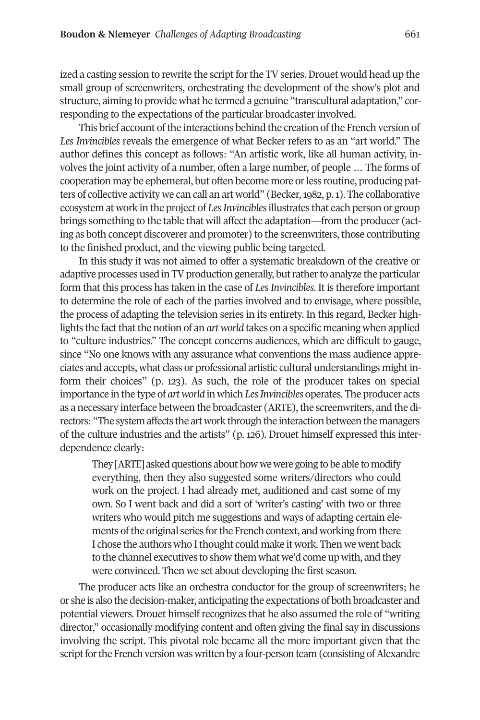ized a casting session to rewrite the script for the TV series. Drouet would head up the small group of screenwriters, orchestrating the development of the show's plot and structure, aiming to provide what he termed a genuine "transcultural adaptation," corresponding to the expectations of the particular broadcaster involved.

This brief account of the interactions behind the creation of the French version of *Les Invincibles* reveals the emergence of what Becker refers to as an "art world." the author defines this concept as follows: "An artistic work, like all human activity, involves the joint activity of a number, often a large number, of people … the forms of cooperation may be ephemeral, but often become more orless routine, producing patters of collective activity we can call an art world" (Becker,1982, p.1). the collaborative ecosystem at work in the project of *LesInvincibles*illustrates that each person or group brings something to the table that will affect the adaptation—from the producer (acting as both concept discoverer and promoter) to the screenwriters, those contributing to the finished product, and the viewing public being targeted.

In this study it was not aimed to offer a systematic breakdown of the creative or adaptive processes used in TV production generally, but rather to analyze the particular form that this process has taken in the case of *Les Invincibles*. It is therefore important to determine the role of each of the parties involved and to envisage, where possible, the process of adapting the television series in its entirety. In this regard, Becker highlights the factthatthe notion of an *art world* takes on a specific meaning when applied to "culture industries." the concept concerns audiences, which are difficult to gauge, since "No one knows with any assurance what conventions the mass audience appreciates and accepts, what class or professional artistic cultural understandings might inform their choices" (p. 123). As such, the role of the producer takes on special importance in the type of *art world* in which *LesInvincibles* operates. the producer acts as a necessary interface between the broadcaster (ARTE), the screenwriters, and the directors: "the system affects the art work through the interaction between the managers of the culture industries and the artists" (p. 126). Drouet himself expressed this interdependence clearly:

They [ARTE] asked questions about how we were going to be able to modify everything, then they also suggested some writers/directors who could work on the project. I had already met, auditioned and cast some of my own. so I went back and did a sort of 'writer's casting' with two or three writers who would pitch me suggestions and ways of adapting certain elements of the original series for the French context, and working from there I chose the authors who I thought could make it work. Then we went back to the channel executives to show them what we'd come up with, and they were convinced. Then we set about developing the first season.

The producer acts like an orchestra conductor for the group of screenwriters; he or she is also the decision-maker, anticipating the expectations of both broadcaster and potential viewers. Drouet himself recognizes that he also assumed the role of "writing director," occasionally modifying content and often giving the final say in discussions involving the script. This pivotal role became all the more important given that the script for the French version was written by a four-person team (consisting of Alexandre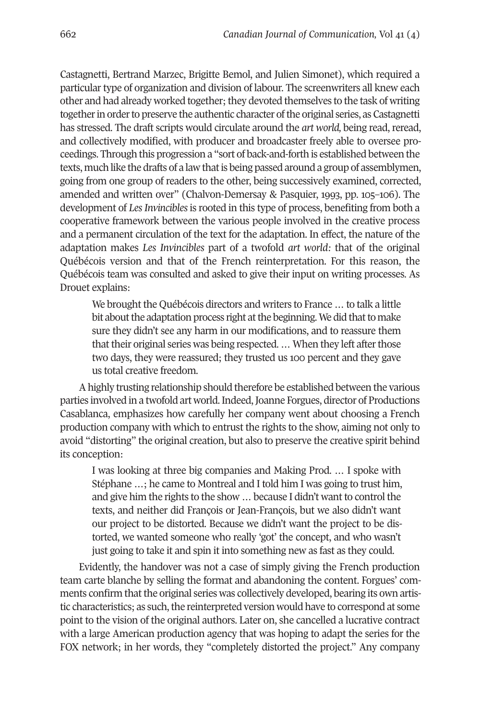castagnetti, Bertrand Marzec, Brigitte Bemol, and Julien simonet), which required a particular type of organization and division of labour. The screenwriters all knew each other and had already worked together; they devoted themselves to the task of writing together in order to preserve the authentic character of the original series, as Castagnetti has stressed. the draft scripts would circulate around the *art world,* being read, reread, and collectively modified, with producer and broadcaster freely able to oversee proceedings. through this progression a "sort of back-and-forth is established between the texts, much like the drafts of a law that is being passed around a group of assemblymen, going from one group of readers to the other, being successively examined, corrected, amended and written over" (chalvon-Demersay & Pasquier, 1993, pp. 105–106). the development of *LesInvincibles*is rooted in this type of process, benefiting from both a cooperative framework between the various people involved in the creative process and a permanent circulation of the text for the adaptation. In effect, the nature of the adaptation makes *Les Invincibles* part of a twofold *art world:* that of the original Québécois version and that of the French reinterpretation. For this reason, the Québécois team was consulted and asked to give their input on writing processes. As Drouet explains:

We brought the Québécois directors and writers to France … to talk a little bit about the adaptation process right at the beginning. We did that to make sure they didn't see any harm in our modifications, and to reassure them that their original series was being respected. ... When they left after those two days, they were reassured; they trusted us 100 percent and they gave us total creative freedom.

Ahighly trusting relationship should therefore be established between the various parties involved in a twofold art world. Indeed, Joanne Forgues, director of Productions casablanca, emphasizes how carefully her company went about choosing a French production company with which to entrust the rights to the show, aiming not only to avoid "distorting" the original creation, but also to preserve the creative spirit behind its conception:

I was looking at three big companies and Making Prod. … I spoke with stéphane …; he came to Montreal and I told him I was going to trust him, and give him the rights to the show ... because I didn't want to control the texts, and neither did François or Jean-François, but we also didn't want our project to be distorted. Because we didn't want the project to be distorted, we wanted someone who really 'got' the concept, and who wasn't just going to take it and spin it into something new as fast as they could.

Evidently, the handover was not a case of simply giving the French production team carte blanche by selling the format and abandoning the content. Forgues' comments confirm that the original series was collectively developed, bearing its own artistic characteristics; as such, the reinterpreted version would have to correspond at some point to the vision of the original authors. Later on, she cancelled a lucrative contract with a large American production agency that was hoping to adapt the series for the FOX network; in her words, they "completely distorted the project." Any company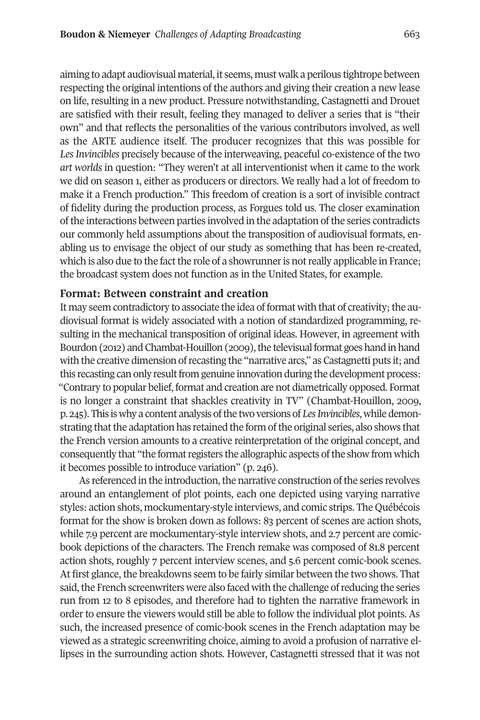aiming to adapt audiovisual material, it seems, must walk a perilous tightrope between respecting the original intentions of the authors and giving their creation a new lease on life, resulting in a new product. Pressure notwithstanding, castagnetti and Drouet are satisfied with their result, feeling they managed to deliver a series that is "their own" and that reflects the personalities of the various contributors involved, as well as the ArtE audience itself. the producer recognizes that this was possible for *LesInvincibles* precisely because of the interweaving, peaceful co-existence of the two *art worlds* in question: "they weren't at all interventionist when it came to the work we did on season 1, either as producers or directors. We really had a lot of freedom to make it a French production." This freedom of creation is a sort of invisible contract of fidelity during the production process, as Forgues told us. the closer examination ofthe interactions between parties involved in the adaptation ofthe series contradicts our commonly held assumptions about the transposition of audiovisual formats, enabling us to envisage the object of our study as something that has been re-created, which is also due to the fact the role of a showrunner is not really applicable in France; the broadcast system does not function as in the United states, for example.

#### **Format: Between constraint and creation**

It may seem contradictory to associate the idea of format with that of creativity; the audiovisual format is widely associated with a notion of standardized programming, resulting in the mechanical transposition of original ideas. However, in agreement with Bourdon (2012) and Chambat-Houillon (2009), the televisual format goes hand in hand with the creative dimension of recasting the "narrative arcs," as Castagnetti puts it; and this recasting can only result from genuine innovation during the development process: "contrary to popular belief, format and creation are not diametrically opposed. Format is no longer a constraint that shackles creativity in tV" (chambat-Houillon, 2009, p. 245). This is why a content analysis of the two versions of *Les Invincibles*, while demonstrating that the adaptation has retained the form of the original series, also shows that the French version amounts to a creative reinterpretation of the original concept, and consequently that "the formatregisters the allographic aspects ofthe show from which it becomes possible to introduce variation" (p. 246).

As referenced in the introduction, the narrative construction of the series revolves around an entanglement of plot points, each one depicted using varying narrative styles: action shots, mockumentary-style interviews, and comic strips. the Québécois format for the show is broken down as follows: 83 percent of scenes are action shots, while 7.9 percent are mockumentary-style interview shots, and 2.7 percent are comicbook depictions of the characters. The French remake was composed of 81.8 percent action shots, roughly 7 percent interview scenes, and 5.6 percent comic-book scenes. At first glance, the breakdowns seem to be fairly similar between the two shows. that said, the French screenwriters were also faced with the challenge of reducing the series run from 12 to 8 episodes, and therefore had to tighten the narrative framework in order to ensure the viewers would still be able to follow the individual plot points. As such, the increased presence of comic-book scenes in the French adaptation may be viewed as a strategic screenwriting choice, aiming to avoid a profusion of narrative ellipses in the surrounding action shots. However, castagnetti stressed that it was not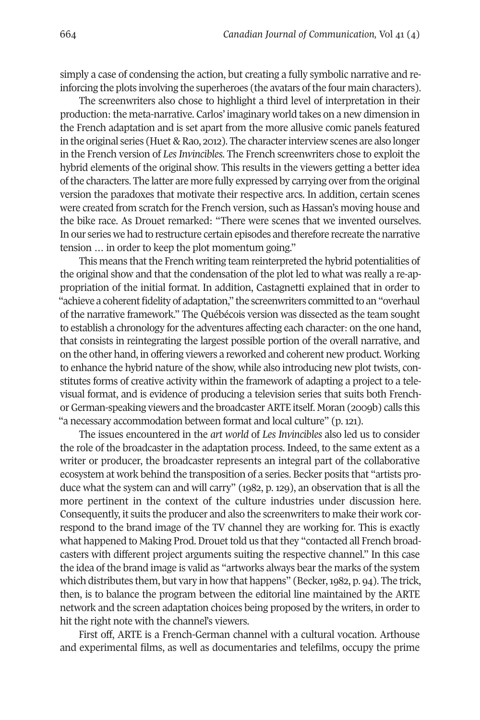simply a case of condensing the action, but creating a fully symbolic narrative and reinforcing the plots involving the superheroes (the avatars of the four main characters).

The screenwriters also chose to highlight a third level of interpretation in their production: the meta-narrative. carlos' imaginary world takes on a new dimension in the French adaptation and is set apart from the more allusive comic panels featured in the original series (Huet  $\&$  Rao, 2012). The character interview scenes are also longer in the French version of *Les Invincibles*. the French screenwriters chose to exploit the hybrid elements of the original show. This results in the viewers getting a better idea ofthe characters. the latter are more fully expressed by carrying overfrom the original version the paradoxes that motivate their respective arcs. In addition, certain scenes were created from scratch for the French version, such as Hassan's moving house and the bike race. As Drouet remarked: "There were scenes that we invented ourselves. In our series we had to restructure certain episodes and therefore recreate the narrative tension … in order to keep the plot momentum going."

This means that the French writing team reinterpreted the hybrid potentialities of the original show and that the condensation of the plot led to what was really a re-appropriation of the initial format. In addition, castagnetti explained that in order to "achieve a coherent fidelity of adaptation," the screenwriters committed to an "overhaul of the narrative framework." the Québécois version was dissected as the team sought to establish a chronology for the adventures affecting each character: on the one hand, that consists in reintegrating the largest possible portion of the overall narrative, and on the other hand, in offering viewers a reworked and coherent new product. Working to enhance the hybrid nature of the show, while also introducing new plot twists, constitutes forms of creative activity within the framework of adapting a project to a televisual format, and is evidence of producing a television series that suits both Frenchor German-speaking viewers and the broadcasterArtE itself. Moran (2009b) calls this "a necessary accommodation between format and local culture" (p. 121).

the issues encountered in the *art world* of *Les Invincibles* also led us to consider the role of the broadcaster in the adaptation process. Indeed, to the same extent as a writer or producer, the broadcaster represents an integral part of the collaborative ecosystem at work behind the transposition of a series. Becker posits that "artists produce what the system can and will carry" (1982, p. 129), an observation that is all the more pertinent in the context of the culture industries under discussion here. consequently, it suits the producer and also the screenwriters to make their work correspond to the brand image of the TV channel they are working for. This is exactly what happened to Making Prod. Drouet told us that they "contacted all French broadcasters with different project arguments suiting the respective channel." In this case the idea of the brand image is valid as "artworks always bear the marks of the system which distributes them, but vary in how that happens" (Becker, 1982, p. 94). The trick, then, is to balance the program between the editorial line maintained by the ArtE network and the screen adaptation choices being proposed by the writers, in order to hit the right note with the channel's viewers.

First off, ARTE is a French-German channel with a cultural vocation. Arthouse and experimental films, as well as documentaries and telefilms, occupy the prime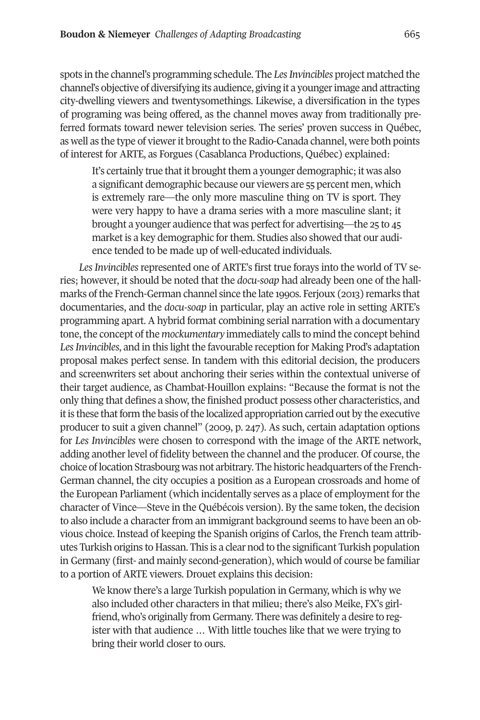spots in the channel's programming schedule. the *LesInvincibles* project matched the channel's objective of diversifying its audience, giving it a youngerimage and attracting city-dwelling viewers and twentysomethings. Likewise, a diversification in the types of programing was being offered, as the channel moves away from traditionally preferred formats toward newer television series. the series' proven success in Québec, as well as the type of viewer it brought to the Radio-Canada channel, were both points of interest for ArtE, as Forgues (casablanca Productions, Québec) explained:

It's certainly true that it brought them a younger demographic; it was also a significant demographic because our viewers are 55 percent men, which is extremely rare—the only more masculine thing on TV is sport. They were very happy to have a drama series with a more masculine slant; it brought a younger audience that was perfect for advertising—the 25 to 45 market is a key demographic for them. Studies also showed that our audience tended to be made up of well-educated individuals.

Les Invincibles represented one of ARTE's first true forays into the world of TV series; however, it should be noted that the *docu-soap* had already been one of the hallmarks ofthe French-German channel since the late 1990s. Ferjoux (2013) remarks that documentaries, and the *docu-soap* in particular, play an active role in setting ArtE's programming apart. A hybrid format combining serial narration with a documentary tone, the concept of the *mockumentary* immediately calls to mind the concept behind Les Invincibles, and in this light the favourable reception for Making Prod's adaptation proposal makes perfect sense. In tandem with this editorial decision, the producers and screenwriters set about anchoring their series within the contextual universe of their target audience, as chambat-Houillon explains: "Because the format is not the only thing that defines a show, the finished product possess other characteristics, and it is these that form the basis of the localized appropriation carried out by the executive producer to suit a given channel" (2009, p. 247). As such, certain adaptation options for *Les Invincibles* were chosen to correspond with the image of the ArtE network, adding another level of fidelity between the channel and the producer. Of course, the choice oflocation strasbourg was not arbitrary. the historic headquarters ofthe French-German channel, the city occupies a position as a European crossroads and home of the European Parliament (which incidentally serves as a place of employment forthe character of Vince—steve in the Québécois version). By the same token, the decision to also include a character from an immigrant background seems to have been an obvious choice. Instead of keeping the spanish origins of carlos, the French team attributes turkish origins to Hassan. this is a clear nod to the significant turkish population in Germany (first- and mainly second-generation), which would of course be familiar to a portion of ArtE viewers. Drouet explains this decision:

We know there's a large Turkish population in Germany, which is why we also included other characters in that milieu; there's also Meike, FX's girlfriend, who's originally from Germany. There was definitely a desire to register with that audience … With little touches like that we were trying to bring their world closer to ours.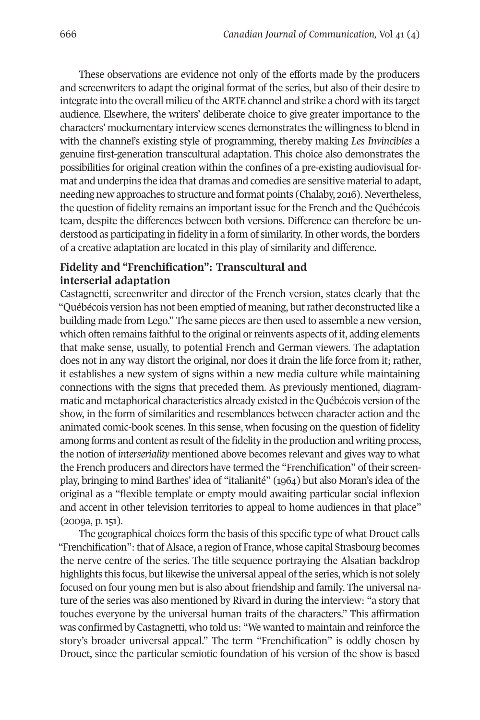These observations are evidence not only of the efforts made by the producers and screenwriters to adapt the original format of the series, but also of their desire to integrate into the overall milieu of the ArtE channel and strike a chord with its target audience. Elsewhere, the writers' deliberate choice to give greater importance to the characters' mockumentary interview scenes demonstrates the willingness to blend in with the channel's existing style of programming, thereby making *Les Invincibles* a genuine first-generation transcultural adaptation. this choice also demonstrates the possibilities for original creation within the confines of a pre-existing audiovisual format and underpins the idea that dramas and comedies are sensitive material to adapt, needing new approaches to structure and format points (chalaby, 2016). Nevertheless, the question of fidelity remains an important issue for the French and the Québécois team, despite the differences between both versions. Difference can therefore be understood as participating in fidelity in a form of similarity. In other words, the borders of a creative adaptation are located in this play of similarity and difference.

# **Fidelity and "Frenchification": Transcultural and interserial adaptation**

castagnetti, screenwriter and director of the French version, states clearly that the "Québécois version has not been emptied of meaning, butrather deconstructed like a building made from Lego." the same pieces are then used to assemble a new version, which often remains faithful to the original or reinvents aspects of it, adding elements that make sense, usually, to potential French and German viewers. the adaptation does not in any way distort the original, nor does it drain the life force from it; rather, it establishes a new system of signs within a new media culture while maintaining connections with the signs that preceded them. As previously mentioned, diagrammatic and metaphorical characteristics already existed in the Québécois version of the show, in the form of similarities and resemblances between character action and the animated comic-book scenes. In this sense, when focusing on the question of fidelity among forms and content as result of the fidelity in the production and writing process, the notion of *interseriality* mentioned above becomes relevant and gives way to what the French producers and directors have termed the "Frenchification" of their screenplay, bringing to mind Barthes' idea of "italianité" (1964) but also Moran's idea of the original as a "flexible template or empty mould awaiting particular social inflexion and accent in other television territories to appeal to home audiences in that place" (2009a, p. 151).

the geographical choices form the basis of this specific type of what Drouet calls "Frenchification": that of Alsace, a region of France, whose capital Strasbourg becomes the nerve centre of the series. the title sequence portraying the Alsatian backdrop highlights this focus, but likewise the universal appeal of the series, which is not solely focused on four young men but is also about friendship and family. the universal nature of the series was also mentioned by rivard in during the interview: "a story that touches everyone by the universal human traits of the characters." this affirmation was confirmed by castagnetti, who told us: "We wanted to maintain and reinforce the story's broader universal appeal." The term "Frenchification" is oddly chosen by Drouet, since the particular semiotic foundation of his version of the show is based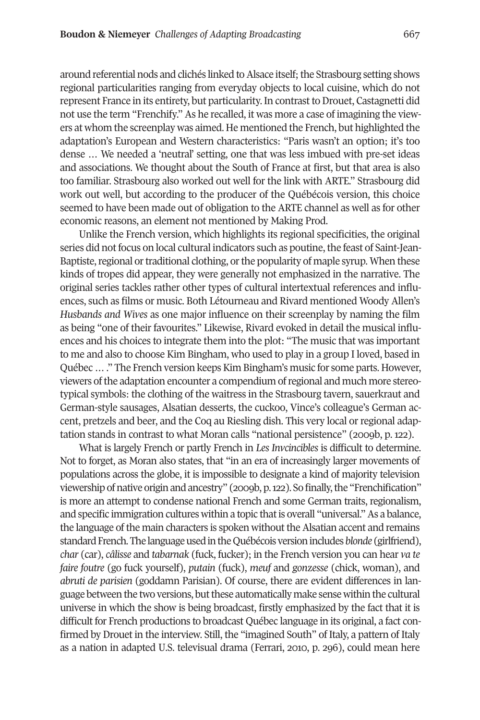around referential nods and clichés linked to Alsace itself; the Strasbourg setting shows regional particularities ranging from everyday objects to local cuisine, which do not represent France in its entirety, but particularity. In contrast to Drouet, Castagnetti did not use the term "Frenchify." As he recalled, it was more a case of imagining the viewers at whom the screenplay was aimed. He mentioned the French, but highlighted the adaptation's European and Western characteristics: "Paris wasn't an option; it's too dense … We needed a 'neutral' setting, one that was less imbued with pre-set ideas and associations. We thought about the south of France at first, but that area is also too familiar. strasbourg also worked out well for the link with ArtE." strasbourg did work out well, but according to the producer of the Québécois version, this choice seemed to have been made out of obligation to the ARTE channel as well as for other economic reasons, an element not mentioned by Making Prod.

Unlike the French version, which highlights its regional specificities, the original series did not focus on local cultural indicators such as poutine, the feast of Saint-Jean-Baptiste, regional or traditional clothing, or the popularity of maple syrup. When these kinds of tropes did appear, they were generally not emphasized in the narrative. the original series tackles rather other types of cultural intertextual references and influences, such as films or music. Both Létourneau and Rivard mentioned Woody Allen's *Husbands and Wives* as one major influence on their screenplay by naming the film as being "one of their favourites." Likewise, Rivard evoked in detail the musical influences and his choices to integrate them into the plot: "The music that was important to me and also to choose Kim Bingham, who used to play in a group I loved, based in Québec ...." The French version keeps Kim Bingham's music for some parts. However, viewers ofthe adaptation encounter a compendium ofregional and much more stereotypical symbols: the clothing of the waitress in the strasbourg tavern, sauerkraut and German-style sausages, Alsatian desserts, the cuckoo, Vince's colleague's German accent, pretzels and beer, and the Coq au Riesling dish. This very local or regional adaptation stands in contrast to what Moran calls "national persistence" (2009b, p. 122).

What is largely French or partly French in *Les Invcincibles* is difficult to determine. Not to forget, as Moran also states, that "in an era of increasingly larger movements of populations across the globe, it is impossible to designate a kind of majority television viewershipofnative originand ancestry" (2009b,p.122). sofinally,the "Frenchification" is more an attempt to condense national French and some German traits, regionalism, and specific immigration cultures within a topic that is overall "universal." As a balance, the language of the main characters is spoken without the Alsatian accent and remains standard French. The language used in the Québécois version includes *blonde* (girlfriend), *char* (car), *câlisse* and *tabarnak* (fuck, fucker); in the French version you can hear *va te faire foutre* (go fuck yourself), *putain* (fuck), *meuf* and *gonzesse* (chick, woman), and *abruti de parisien* (goddamn Parisian). Of course, there are evident differences in language between the two versions, but these automatically make sense within the cultural universe in which the show is being broadcast, firstly emphasized by the fact that it is difficult for French productions to broadcast Québec language in its original, a fact confirmed by Drouet in the interview. still, the "imagined south" of Italy, a pattern of Italy as a nation in adapted U.s. televisual drama (Ferrari, 2010, p. 296), could mean here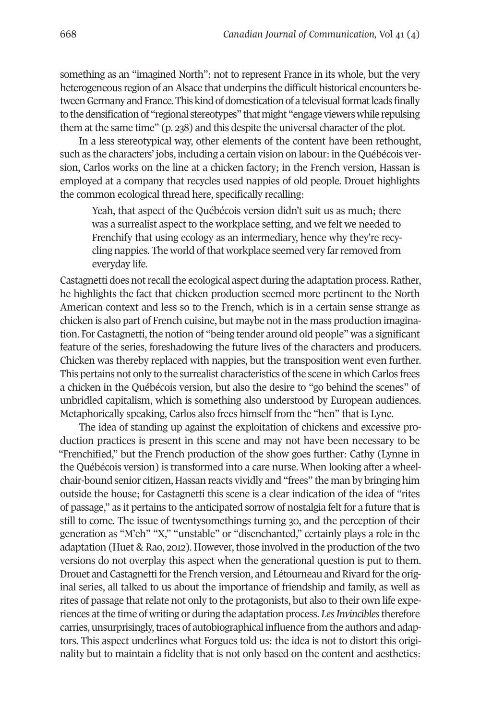something as an "imagined North": not to represent France in its whole, but the very heterogeneous region of an Alsace that underpins the difficult historical encounters between Germany and France. This kind of domestication of a televisual format leads finally to the densification of "regional stereotypes" that might "engage viewers while repulsing them at the same time" (p. 238) and this despite the universal character of the plot.

In a less stereotypical way, other elements of the content have been rethought, such as the characters' jobs, including a certain vision on labour: in the Québécois version, carlos works on the line at a chicken factory; in the French version, Hassan is employed at a company that recycles used nappies of old people. Drouet highlights the common ecological thread here, specifically recalling:

Yeah, that aspect of the Québécois version didn't suit us as much; there was a surrealist aspect to the workplace setting, and we felt we needed to Frenchify that using ecology as an intermediary, hence why they're recycling nappies. The world of that workplace seemed very far removed from everyday life.

Castagnetti does not recall the ecological aspect during the adaptation process. Rather, he highlights the fact that chicken production seemed more pertinent to the North American context and less so to the French, which is in a certain sense strange as chicken is also part of French cuisine, but maybe not in the mass production imagination. For Castagnetti, the notion of "being tender around old people" was a significant feature of the series, foreshadowing the future lives of the characters and producers. chicken was thereby replaced with nappies, but the transposition went even further. This pertains not only to the surrealist characteristics of the scene in which Carlos frees a chicken in the Québécois version, but also the desire to "go behind the scenes" of unbridled capitalism, which is something also understood by European audiences. Metaphorically speaking, carlos also frees himself from the "hen" that is Lyne.

The idea of standing up against the exploitation of chickens and excessive production practices is present in this scene and may not have been necessary to be "Frenchified," but the French production of the show goes further: cathy (Lynne in the Québécois version) is transformed into a care nurse. When looking after a wheelchair-bound senior citizen, Hassan reacts vividly and "frees" the man by bringing him outside the house; for castagnetti this scene is a clear indication of the idea of "rites of passage," as it pertains to the anticipated sorrow of nostalgia felt for a future that is still to come. the issue of twentysomethings turning 30, and the perception of their generation as "M'eh" "X," "unstable" or "disenchanted," certainly plays a role in the adaptation (Huet & Rao, 2012). However, those involved in the production of the two versions do not overplay this aspect when the generational question is put to them. Drouet and Castagnetti for the French version, and Létourneau and Rivard for the original series, all talked to us about the importance of friendship and family, as well as rites of passage that relate not only to the protagonists, but also to their own life experiences atthe time of writing or during the adaptation process. *LesInvincibles*therefore carries, unsurprisingly, traces of autobiographical influence from the authors and adaptors. this aspect underlines what Forgues told us: the idea is not to distort this originality but to maintain a fidelity that is not only based on the content and aesthetics: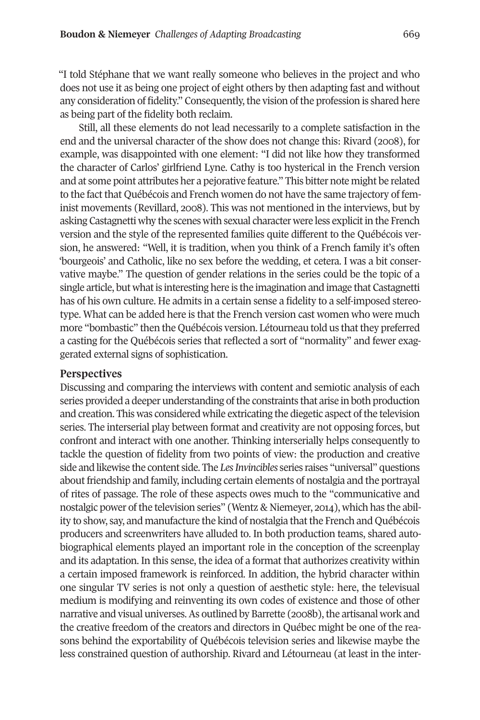"I told stéphane that we want really someone who believes in the project and who does not use it as being one project of eight others by then adapting fast and without any consideration of fidelity." Consequently, the vision of the profession is shared here as being part of the fidelity both reclaim.

still, all these elements do not lead necessarily to a complete satisfaction in the end and the universal character of the show does not change this: Rivard (2008), for example, was disappointed with one element: "I did not like how they transformed the character of carlos' girlfriend Lyne. cathy is too hysterical in the French version and at some point attributes her a pejorative feature." this bitter note might be related to the fact that Québécois and French women do not have the same trajectory of feminist movements (Revillard, 2008). This was not mentioned in the interviews, but by asking castagnetti why the scenes with sexual character were less explicitin the French version and the style of the represented families quite different to the Québécois version, he answered: "Well, it is tradition, when you think of a French family it's often 'bourgeois' and catholic, like no sex before the wedding, et cetera. I was a bit conservative maybe." the question of gender relations in the series could be the topic of a single article, but what is interesting here is the imagination and image that Castagnetti has of his own culture. He admits in a certain sense a fidelity to a self-imposed stereotype. What can be added here is that the French version cast women who were much more "bombastic" then the Québécois version. Létourneau told us thatthey preferred a casting for the Québécois series that reflected a sort of "normality" and fewer exaggerated external signs of sophistication.

#### **Perspectives**

Discussing and comparing the interviews with content and semiotic analysis of each series provided a deeper understanding of the constraints that arise in both production and creation. This was considered while extricating the diegetic aspect of the television series. the interserial play between format and creativity are not opposing forces, but confront and interact with one another. thinking interserially helps consequently to tackle the question of fidelity from two points of view: the production and creative side and likewise the content side. The *Les Invincibles* series raises "universal" questions aboutfriendship and family, including certain elements of nostalgia and the portrayal of rites of passage. the role of these aspects owes much to the "communicative and nostalgic power of the television series" (Wentz & Niemeyer, 2014), which has the ability to show, say, and manufacture the kind of nostalgia that the French and Québécois producers and screenwriters have alluded to. In both production teams, shared autobiographical elements played an important role in the conception of the screenplay and its adaptation. In this sense, the idea of a format that authorizes creativity within a certain imposed framework is reinforced. In addition, the hybrid character within one singular tV series is not only a question of aesthetic style: here, the televisual medium is modifying and reinventing its own codes of existence and those of other narrative and visual universes. As outlined by Barrette (2008b), the artisanal work and the creative freedom of the creators and directors in Québec might be one of the reasons behind the exportability of Québécois television series and likewise maybe the less constrained question of authorship. Rivard and Létourneau (at least in the inter-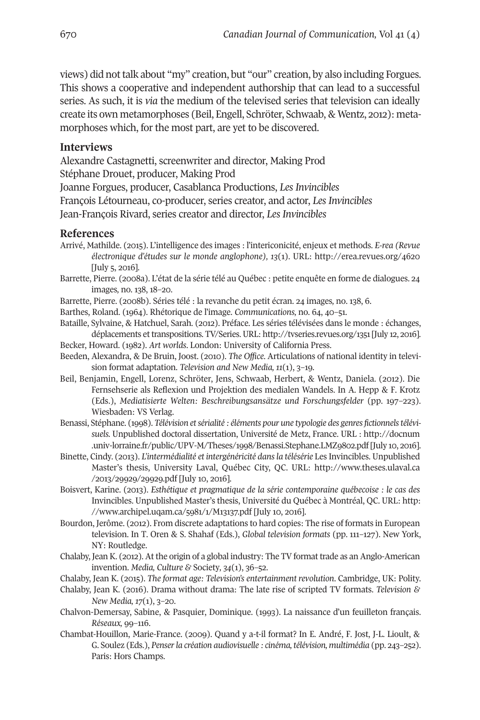views) did not talk about "my" creation, but "our" creation, by also including Forgues. this shows a cooperative and independent authorship that can lead to a successful series. As such, it is *via* the medium of the televised series that television can ideally create its own metamorphoses (Beil, Engell, schröter, schwaab, & Wentz, 2012): metamorphoses which, for the most part, are yet to be discovered.

#### **Interviews**

Alexandre castagnetti, screenwriter and director, Making Prod

stéphane Drouet, producer, Making Prod

Joanne Forgues, producer, casablanca Productions, *Les Invincibles*

François Létourneau, co-producer, series creator, and actor, *Les Invincibles*

Jean-François Rivard, series creator and director, *Les Invincibles* 

#### **References**

- Arrivé, Mathilde. (2015). L'intelligence des images : l'intericonicité, enjeux et methods. *E-rea (Revue électronique d'études sur le monde anglophone), 13*(1). UrL: <http://erea.revues.org/4620> [July 5, 2016].
- Barrette, Pierre. (2008a). L'état de la série télé au Québec : petite enquête en forme de dialogues. 24 images*,* no. 138, 18–20.
- Barrette, Pierre. (2008b). séries télé : la revanche du petit écran. 24 images*,* no. 138, 6.
- Barthes, Roland. (1964). Rhétorique de l'image. *Communications*, no. 64, 40–51.
- Bataille, sylvaine, & Hatchuel, sarah. (2012). Préface. Les séries télévisées dans le monde : échanges, déplacements et transpositions. TV/Series. URL: <http://tvseries.revues.org/1351> [July 12, 2016].
- Becker, Howard. (1982). *Art worlds*. London: University of california Press.
- Beeden, Alexandra, & De Bruin, Joost. (2010). *The Office*. Articulations of national identity in television format adaptation. *Television and New Media, 11*(1), 3–19.
- Beil, Benjamin, Engell, Lorenz, schröter, Jens, schwaab, Herbert, & Wentz, Daniela. (2012). Die Fernsehserie als Reflexion und Projektion des medialen Wandels. In A. Hepp & F. Krotz (Eds.), *Mediatisierte Welten: Beschreibungsansätze und Forschungsfelder* (pp. 197–223). Wiesbaden: Vs Verlag.
- Benassi, stéphane. (1998). *Télévision etsérialité : éléments pour une typologie des genresfictionnelstélévisuels.* Unpublished doctoral dissertation, Université de Metz, France. UrL : [http://docnum](http://docnum.univ-lorraine.fr/public/UPV-M/Theses/1998/Benassi.Stephane.LMZ9802.pdf) .univ-lorraine.fr/public/UPV-M/Theses/1998/Benassi.Stephane.LMZ9802.pdf [July 10, 2016].
- Binette, cindy. (2013). *L'intermédialité et intergénéricité dansla télésérie* Les Invincibles. Unpublished Master's thesis, University Laval, Québec city, Qc. UrL: [http://www.theses.ulaval.ca](http://www.theses.ulaval.ca/2013/29929/29929.pdf) [/2013/29929/29929.pdf](http://www.theses.ulaval.ca/2013/29929/29929.pdf) [July 10, 2016].
- Boisvert, Karine. (2013). *Esthétique et pragmatique de la série contemporaine québecoise : le cas des* Invincibles. Unpublished Master's thesis, Université du Québec à Montréal, Qc. UrL: [http:](http://www.archipel.uqam.ca/5981/1/M13137.pdf) [//www.archipel.uqam.ca/5981/1/M13137.pdf](http://www.archipel.uqam.ca/5981/1/M13137.pdf) [July 10, 2016].
- Bourdon, Jerôme. (2012). From discrete adaptations to hard copies: the rise of formats in European television. In t. Oren & s. shahaf (Eds.), *Global television formats* (pp. 111–127). New York, NY: Routledge.
- chalaby, Jean K. (2012). At the origin of a global industry: the tV format trade as an Anglo-American invention. *Media, Culture &* society*, 34*(1), 36–52.
- chalaby, Jean K. (2015). *The format age: Television's entertainment revolution*. cambridge, UK: Polity.
- chalaby, Jean K. (2016). Drama without drama: the late rise of scripted tV formats. *Television & New Media, 17*(1), 3–20.
- chalvon-Demersay, sabine, & Pasquier, Dominique. (1993). La naissance d'un feuilleton français. *Réseaux,* 99–116.
- chambat-Houillon, Marie-France. (2009). Quand y a-t-il format? In E. André, F. Jost, J-L. Lioult, & G. soulez (Eds.), *Penserla création audiovisuelle : cinéma, télévision, multimédia* (pp. 243–252). Paris: Hors champs.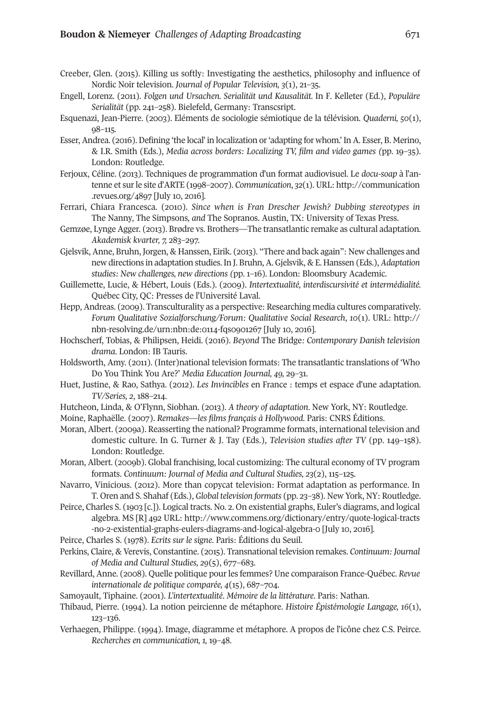- creeber, Glen. (2015). Killing us softly: Investigating the aesthetics, philosophy and influence of Nordic Noir television. *Journal of Popular Television, 3*(1), 21–35.
- Engell, Lorenz. (2011). *Folgen und Ursachen. Serialität und Kausalität.* In F. Kelleter (Ed.), *Populäre* Serialität (pp. 241–258). Bielefeld, Germany: Transcsript.
- Esquenazi, Jean-Pierre. (2003). Eléments de sociologie sémiotique de la télévision. *Quaderni, 50*(1), 98–115.
- Esser, Andrea. (2016). Defining 'the local' in localization or'adapting for whom.' In A. Esser, B. Merino, & I.r. smith (Eds.), *Media across borders: Localizing TV, film and video games (*pp. 19–35). London: Routledge.
- Ferjoux, céline. (2013). techniques de programmation d'un format audiovisuel. Le *docu-soap* à l'antenne et surle site d'ArtE (1998–2007). *Communication*, *32*(1).UrL: [http://communication](http://communication.revues.org/4897) [.revues.org/4897](http://communication.revues.org/4897) [July 10, 2016].
- Ferrari, chiara Francesca. (2010). *Since when is Fran Drescher Jewish? Dubbing stereotypes in* the Nanny*,* the simpsons*, and* the sopranos. Austin, tX: University of texas Press.
- Gemzøe, Lynge Agger. (2013). Brødre vs. Brothers—The transatlantic remake as cultural adaptation. *Akademisk kvarter, 7,* 283–297.
- Gjelsvik, Anne, Bruhn, Jorgen, & Hanssen, Eirik. (2013). "there and back again": New challenges and new directions in adaptation studies. In J. Bruhn,A. Gjelsvik, & E. Hanssen (Eds.), *Adaptation studies: New challenges, new directions (*pp. 1–16). London: Bloomsbury Academic.
- Guillemette, Lucie, & Hébert, Louis (Eds.). (2009). *Intertextualité, interdiscursivité et intermédialité.* Québec city, Qc: Presses de l'Université Laval.
- Hepp, Andreas. (2009). Transculturality as a perspective: Researching media cultures comparatively. *Forum Qualitative Sozialforschung/Forum: Qualitative Social Research*, *10*(1). UrL: [http://](http://nbn-resolving.de/urn:nbn:de:0114-fqs0901267) [nbn-resolving.de/urn:nbn:de:0114-fqs0901267](http://nbn-resolving.de/urn:nbn:de:0114-fqs0901267) [July 10, 2016].
- Hochscherf, tobias, & Philipsen, Heidi. (2016). *Beyond* the Bridge*: Contemporary Danish television* drama. London: IB Tauris.
- Holdsworth, Amy. (2011). (Inter)national television formats: the transatlantic translations of 'Who Do You think You Are?' *Media Education Journal, 49,* 29–31.
- Huet, Justine, & Rao, Sathya. (2012). *Les Invincibles* en France : temps et espace d'une adaptation. *TV/Series, 2*, 188–214.
- Hutcheon, Linda, & O'Flynn, siobhan. (2013). *A theory of adaptation*. New York, NY: routledge.
- Moine, raphaëlle. (2007). *Remakes—les films français à Hollywood*. Paris: cNrs Éditions.
- Moran, Albert. (2009a). Reasserting the national? Programme formats, international television and domestic culture. In G. turner & J. tay (Eds.), *Television studies after TV* (pp. 149–158). London: Routledge.
- Moran, Albert. (2009b). Global franchising, local customizing: the cultural economy of tV program formats. *Continuum: Journal of Media and Cultural Studies, 23*(2), 115–125.
- Navarro, Vinicious. (2012). More than copycat television: Format adaptation as performance. In t. Oren and s. shahaf (Eds.), *Global television formats* (pp. 23–38). New York, NY: routledge.
- Peirce, charles s. (1903 [c.]). Logical tracts. No. 2. On existential graphs, Euler's diagrams, and logical algebra. Ms [r] 492 UrL: [http://www.commens.org/dictionary/entry/quote-logical-tracts](http://www.commens.org/dictionary/entry/quote-logical-tracts-no-2-existential-graphs-eulers-diagrams-and-logical-algebra-0) [-no-2-existential-graphs-eulers-diagrams-and-logical-algebra-0](http://www.commens.org/dictionary/entry/quote-logical-tracts-no-2-existential-graphs-eulers-diagrams-and-logical-algebra-0) [July 10, 2016].
- Peirce, charles s. (1978). *Ecrits sur le signe*. Paris: Éditions du seuil.
- Perkins, claire, & Verevis, constantine. (2015). transnational television remakes. *Continuum: Journal of Media and Cultural Studies, 29*(5), 677–683.
- revillard, Anne. (2008). Quelle politique pourles femmes? Une comparaison France-Québec. *Revue internationale de politique comparée, 4*(15), 687–704.
- samoyault, tiphaine. (2001). *L'intertextualité*. *Mémoire de la littérature*. Paris: Nathan.
- thibaud, Pierre. (1994). La notion peircienne de métaphore. *Histoire Épistémologie Langage, 16*(1), 123–136.
- Verhaegen, Philippe. (1994). Image, diagramme et métaphore. A propos de l'icône chez c.s. Peirce. *Recherches en communication, 1,* 19–48.